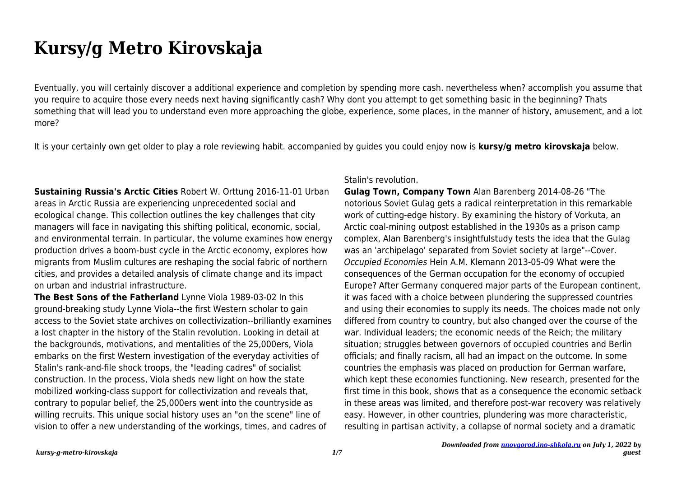# **Kursy/g Metro Kirovskaja**

Eventually, you will certainly discover a additional experience and completion by spending more cash. nevertheless when? accomplish you assume that you require to acquire those every needs next having significantly cash? Why dont you attempt to get something basic in the beginning? Thats something that will lead you to understand even more approaching the globe, experience, some places, in the manner of history, amusement, and a lot more?

It is your certainly own get older to play a role reviewing habit. accompanied by guides you could enjoy now is **kursy/g metro kirovskaja** below.

**Sustaining Russia's Arctic Cities** Robert W. Orttung 2016-11-01 Urban areas in Arctic Russia are experiencing unprecedented social and ecological change. This collection outlines the key challenges that city managers will face in navigating this shifting political, economic, social, and environmental terrain. In particular, the volume examines how energy production drives a boom-bust cycle in the Arctic economy, explores how migrants from Muslim cultures are reshaping the social fabric of northern cities, and provides a detailed analysis of climate change and its impact on urban and industrial infrastructure.

**The Best Sons of the Fatherland** Lynne Viola 1989-03-02 In this ground-breaking study Lynne Viola--the first Western scholar to gain access to the Soviet state archives on collectivization--brilliantly examines a lost chapter in the history of the Stalin revolution. Looking in detail at the backgrounds, motivations, and mentalities of the 25,000ers, Viola embarks on the first Western investigation of the everyday activities of Stalin's rank-and-file shock troops, the "leading cadres" of socialist construction. In the process, Viola sheds new light on how the state mobilized working-class support for collectivization and reveals that, contrary to popular belief, the 25,000ers went into the countryside as willing recruits. This unique social history uses an "on the scene" line of vision to offer a new understanding of the workings, times, and cadres of

## Stalin's revolution.

**Gulag Town, Company Town** Alan Barenberg 2014-08-26 "The notorious Soviet Gulag gets a radical reinterpretation in this remarkable work of cutting-edge history. By examining the history of Vorkuta, an Arctic coal-mining outpost established in the 1930s as a prison camp complex, Alan Barenberg's insightfulstudy tests the idea that the Gulag was an 'archipelago' separated from Soviet society at large"--Cover. Occupied Economies Hein A.M. Klemann 2013-05-09 What were the consequences of the German occupation for the economy of occupied Europe? After Germany conquered major parts of the European continent, it was faced with a choice between plundering the suppressed countries and using their economies to supply its needs. The choices made not only differed from country to country, but also changed over the course of the war. Individual leaders; the economic needs of the Reich; the military situation; struggles between governors of occupied countries and Berlin officials; and finally racism, all had an impact on the outcome. In some countries the emphasis was placed on production for German warfare, which kept these economies functioning. New research, presented for the first time in this book, shows that as a consequence the economic setback in these areas was limited, and therefore post-war recovery was relatively easy. However, in other countries, plundering was more characteristic, resulting in partisan activity, a collapse of normal society and a dramatic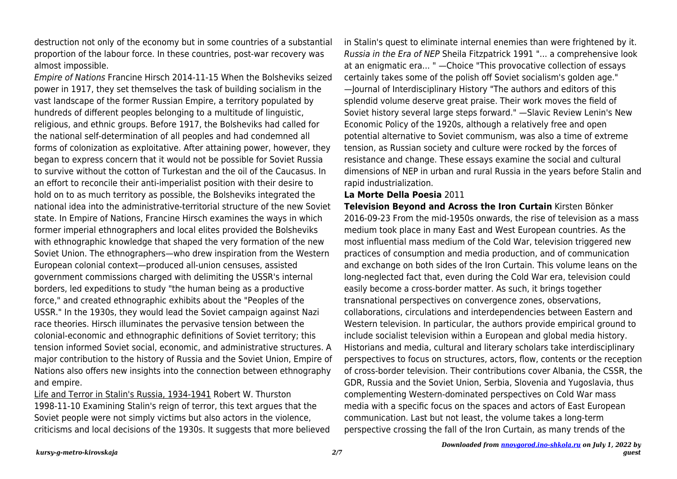destruction not only of the economy but in some countries of a substantial proportion of the labour force. In these countries, post-war recovery was almost impossible.

Empire of Nations Francine Hirsch 2014-11-15 When the Bolsheviks seized power in 1917, they set themselves the task of building socialism in the vast landscape of the former Russian Empire, a territory populated by hundreds of different peoples belonging to a multitude of linguistic, religious, and ethnic groups. Before 1917, the Bolsheviks had called for the national self-determination of all peoples and had condemned all forms of colonization as exploitative. After attaining power, however, they began to express concern that it would not be possible for Soviet Russia to survive without the cotton of Turkestan and the oil of the Caucasus. In an effort to reconcile their anti-imperialist position with their desire to hold on to as much territory as possible, the Bolsheviks integrated the national idea into the administrative-territorial structure of the new Soviet state. In Empire of Nations, Francine Hirsch examines the ways in which former imperial ethnographers and local elites provided the Bolsheviks with ethnographic knowledge that shaped the very formation of the new Soviet Union. The ethnographers—who drew inspiration from the Western European colonial context—produced all-union censuses, assisted government commissions charged with delimiting the USSR's internal borders, led expeditions to study "the human being as a productive force," and created ethnographic exhibits about the "Peoples of the USSR." In the 1930s, they would lead the Soviet campaign against Nazi race theories. Hirsch illuminates the pervasive tension between the colonial-economic and ethnographic definitions of Soviet territory; this tension informed Soviet social, economic, and administrative structures. A major contribution to the history of Russia and the Soviet Union, Empire of Nations also offers new insights into the connection between ethnography and empire.

Life and Terror in Stalin's Russia, 1934-1941 Robert W. Thurston 1998-11-10 Examining Stalin's reign of terror, this text argues that the Soviet people were not simply victims but also actors in the violence, criticisms and local decisions of the 1930s. It suggests that more believed in Stalin's quest to eliminate internal enemies than were frightened by it. Russia in the Era of NEP Sheila Fitzpatrick 1991 "... a comprehensive look at an enigmatic era... " —Choice "This provocative collection of essays certainly takes some of the polish off Soviet socialism's golden age." —Journal of Interdisciplinary History "The authors and editors of this splendid volume deserve great praise. Their work moves the field of Soviet history several large steps forward." —Slavic Review Lenin's New Economic Policy of the 1920s, although a relatively free and open potential alternative to Soviet communism, was also a time of extreme tension, as Russian society and culture were rocked by the forces of resistance and change. These essays examine the social and cultural dimensions of NEP in urban and rural Russia in the years before Stalin and rapid industrialization.

#### **La Morte Della Poesia** 2011

**Television Beyond and Across the Iron Curtain** Kirsten Bönker 2016-09-23 From the mid-1950s onwards, the rise of television as a mass medium took place in many East and West European countries. As the most influential mass medium of the Cold War, television triggered new practices of consumption and media production, and of communication and exchange on both sides of the Iron Curtain. This volume leans on the long-neglected fact that, even during the Cold War era, television could easily become a cross-border matter. As such, it brings together transnational perspectives on convergence zones, observations, collaborations, circulations and interdependencies between Eastern and Western television. In particular, the authors provide empirical ground to include socialist television within a European and global media history. Historians and media, cultural and literary scholars take interdisciplinary perspectives to focus on structures, actors, flow, contents or the reception of cross-border television. Their contributions cover Albania, the CSSR, the GDR, Russia and the Soviet Union, Serbia, Slovenia and Yugoslavia, thus complementing Western-dominated perspectives on Cold War mass media with a specific focus on the spaces and actors of East European communication. Last but not least, the volume takes a long-term perspective crossing the fall of the Iron Curtain, as many trends of the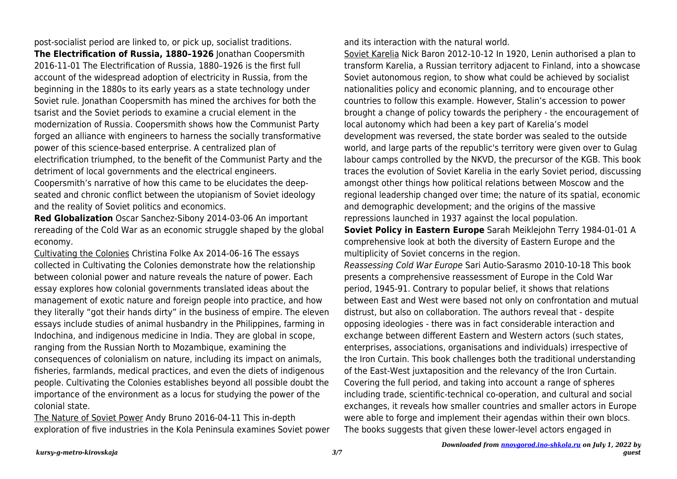post-socialist period are linked to, or pick up, socialist traditions.

**The Electrification of Russia, 1880–1926** Jonathan Coopersmith 2016-11-01 The Electrification of Russia, 1880–1926 is the first full account of the widespread adoption of electricity in Russia, from the beginning in the 1880s to its early years as a state technology under Soviet rule. Jonathan Coopersmith has mined the archives for both the tsarist and the Soviet periods to examine a crucial element in the modernization of Russia. Coopersmith shows how the Communist Party forged an alliance with engineers to harness the socially transformative power of this science-based enterprise. A centralized plan of electrification triumphed, to the benefit of the Communist Party and the detriment of local governments and the electrical engineers. Coopersmith's narrative of how this came to be elucidates the deepseated and chronic conflict between the utopianism of Soviet ideology and the reality of Soviet politics and economics.

**Red Globalization** Oscar Sanchez-Sibony 2014-03-06 An important rereading of the Cold War as an economic struggle shaped by the global economy.

Cultivating the Colonies Christina Folke Ax 2014-06-16 The essays collected in Cultivating the Colonies demonstrate how the relationship between colonial power and nature reveals the nature of power. Each essay explores how colonial governments translated ideas about the management of exotic nature and foreign people into practice, and how they literally "got their hands dirty" in the business of empire. The eleven essays include studies of animal husbandry in the Philippines, farming in Indochina, and indigenous medicine in India. They are global in scope, ranging from the Russian North to Mozambique, examining the consequences of colonialism on nature, including its impact on animals, fisheries, farmlands, medical practices, and even the diets of indigenous people. Cultivating the Colonies establishes beyond all possible doubt the importance of the environment as a locus for studying the power of the colonial state.

The Nature of Soviet Power Andy Bruno 2016-04-11 This in-depth exploration of five industries in the Kola Peninsula examines Soviet power and its interaction with the natural world.

Soviet Karelia Nick Baron 2012-10-12 In 1920, Lenin authorised a plan to transform Karelia, a Russian territory adjacent to Finland, into a showcase Soviet autonomous region, to show what could be achieved by socialist nationalities policy and economic planning, and to encourage other countries to follow this example. However, Stalin's accession to power brought a change of policy towards the periphery - the encouragement of local autonomy which had been a key part of Karelia's model development was reversed, the state border was sealed to the outside world, and large parts of the republic's territory were given over to Gulag labour camps controlled by the NKVD, the precursor of the KGB. This book traces the evolution of Soviet Karelia in the early Soviet period, discussing amongst other things how political relations between Moscow and the regional leadership changed over time; the nature of its spatial, economic and demographic development; and the origins of the massive repressions launched in 1937 against the local population.

**Soviet Policy in Eastern Europe** Sarah Meiklejohn Terry 1984-01-01 A comprehensive look at both the diversity of Eastern Europe and the multiplicity of Soviet concerns in the region.

Reassessing Cold War Europe Sari Autio-Sarasmo 2010-10-18 This book presents a comprehensive reassessment of Europe in the Cold War period, 1945-91. Contrary to popular belief, it shows that relations between East and West were based not only on confrontation and mutual distrust, but also on collaboration. The authors reveal that - despite opposing ideologies - there was in fact considerable interaction and exchange between different Eastern and Western actors (such states, enterprises, associations, organisations and individuals) irrespective of the Iron Curtain. This book challenges both the traditional understanding of the East-West juxtaposition and the relevancy of the Iron Curtain. Covering the full period, and taking into account a range of spheres including trade, scientific-technical co-operation, and cultural and social exchanges, it reveals how smaller countries and smaller actors in Europe were able to forge and implement their agendas within their own blocs. The books suggests that given these lower-level actors engaged in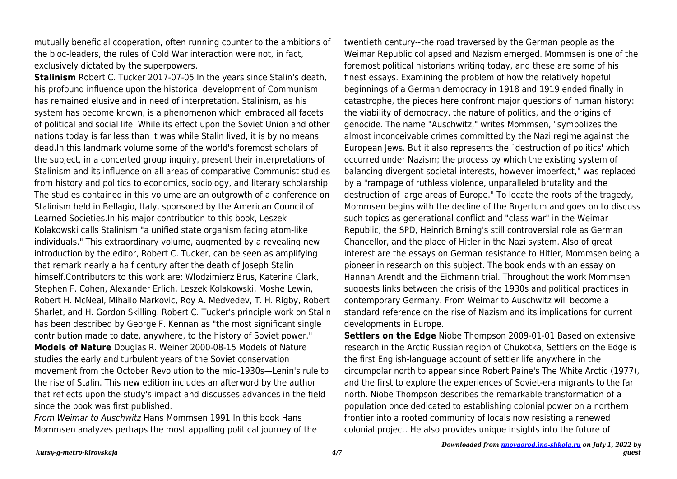mutually beneficial cooperation, often running counter to the ambitions of the bloc-leaders, the rules of Cold War interaction were not, in fact, exclusively dictated by the superpowers.

**Stalinism** Robert C. Tucker 2017-07-05 In the years since Stalin's death, his profound influence upon the historical development of Communism has remained elusive and in need of interpretation. Stalinism, as his system has become known, is a phenomenon which embraced all facets of political and social life. While its effect upon the Soviet Union and other nations today is far less than it was while Stalin lived, it is by no means dead.In this landmark volume some of the world's foremost scholars of the subject, in a concerted group inquiry, present their interpretations of Stalinism and its influence on all areas of comparative Communist studies from history and politics to economics, sociology, and literary scholarship. The studies contained in this volume are an outgrowth of a conference on Stalinism held in Bellagio, Italy, sponsored by the American Council of Learned Societies.In his major contribution to this book, Leszek Kolakowski calls Stalinism "a unified state organism facing atom-like individuals." This extraordinary volume, augmented by a revealing new introduction by the editor, Robert C. Tucker, can be seen as amplifying that remark nearly a half century after the death of Joseph Stalin himself.Contributors to this work are: Wlodzimierz Brus, Katerina Clark, Stephen F. Cohen, Alexander Erlich, Leszek Kolakowski, Moshe Lewin, Robert H. McNeal, Mihailo Markovic, Roy A. Medvedev, T. H. Rigby, Robert Sharlet, and H. Gordon Skilling. Robert C. Tucker's principle work on Stalin has been described by George F. Kennan as "the most significant single contribution made to date, anywhere, to the history of Soviet power." **Models of Nature** Douglas R. Weiner 2000-08-15 Models of Nature studies the early and turbulent years of the Soviet conservation movement from the October Revolution to the mid-1930s—Lenin's rule to the rise of Stalin. This new edition includes an afterword by the author that reflects upon the study's impact and discusses advances in the field since the book was first published.

From Weimar to Auschwitz Hans Mommsen 1991 In this book Hans Mommsen analyzes perhaps the most appalling political journey of the twentieth century--the road traversed by the German people as the Weimar Republic collapsed and Nazism emerged. Mommsen is one of the foremost political historians writing today, and these are some of his finest essays. Examining the problem of how the relatively hopeful beginnings of a German democracy in 1918 and 1919 ended finally in catastrophe, the pieces here confront major questions of human history: the viability of democracy, the nature of politics, and the origins of genocide. The name "Auschwitz," writes Mommsen, "symbolizes the almost inconceivable crimes committed by the Nazi regime against the European Jews. But it also represents the `destruction of politics' which occurred under Nazism; the process by which the existing system of balancing divergent societal interests, however imperfect," was replaced by a "rampage of ruthless violence, unparalleled brutality and the destruction of large areas of Europe." To locate the roots of the tragedy, Mommsen begins with the decline of the Brgertum and goes on to discuss such topics as generational conflict and "class war" in the Weimar Republic, the SPD, Heinrich Brning's still controversial role as German Chancellor, and the place of Hitler in the Nazi system. Also of great interest are the essays on German resistance to Hitler, Mommsen being a pioneer in research on this subject. The book ends with an essay on Hannah Arendt and the Eichmann trial. Throughout the work Mommsen suggests links between the crisis of the 1930s and political practices in contemporary Germany. From Weimar to Auschwitz will become a standard reference on the rise of Nazism and its implications for current developments in Europe.

**Settlers on the Edge** Niobe Thompson 2009-01-01 Based on extensive research in the Arctic Russian region of Chukotka, Settlers on the Edge is the first English-language account of settler life anywhere in the circumpolar north to appear since Robert Paine's The White Arctic (1977), and the first to explore the experiences of Soviet-era migrants to the far north. Niobe Thompson describes the remarkable transformation of a population once dedicated to establishing colonial power on a northern frontier into a rooted community of locals now resisting a renewed colonial project. He also provides unique insights into the future of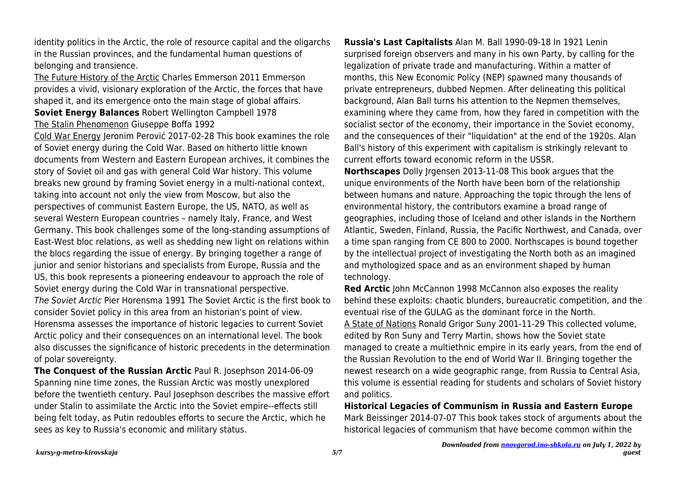identity politics in the Arctic, the role of resource capital and the oligarchs in the Russian provinces, and the fundamental human questions of belonging and transience.

The Future History of the Arctic Charles Emmerson 2011 Emmerson provides a vivid, visionary exploration of the Arctic, the forces that have shaped it, and its emergence onto the main stage of global affairs. **Soviet Energy Balances** Robert Wellington Campbell 1978 The Stalin Phenomenon Giuseppe Boffa 1992

Cold War Energy Jeronim Perović 2017-02-28 This book examines the role of Soviet energy during the Cold War. Based on hitherto little known documents from Western and Eastern European archives, it combines the story of Soviet oil and gas with general Cold War history. This volume breaks new ground by framing Soviet energy in a multi-national context, taking into account not only the view from Moscow, but also the perspectives of communist Eastern Europe, the US, NATO, as well as several Western European countries – namely Italy, France, and West Germany. This book challenges some of the long-standing assumptions of East-West bloc relations, as well as shedding new light on relations within the blocs regarding the issue of energy. By bringing together a range of junior and senior historians and specialists from Europe, Russia and the US, this book represents a pioneering endeavour to approach the role of Soviet energy during the Cold War in transnational perspective. The Soviet Arctic Pier Horensma 1991 The Soviet Arctic is the first book to consider Soviet policy in this area from an historian's point of view. Horensma assesses the importance of historic legacies to current Soviet Arctic policy and their consequences on an international level. The book also discusses the significance of historic precedents in the determination of polar sovereignty.

**The Conquest of the Russian Arctic** Paul R. Josephson 2014-06-09 Spanning nine time zones, the Russian Arctic was mostly unexplored before the twentieth century. Paul Josephson describes the massive effort under Stalin to assimilate the Arctic into the Soviet empire--effects still being felt today, as Putin redoubles efforts to secure the Arctic, which he sees as key to Russia's economic and military status.

**Russia's Last Capitalists** Alan M. Ball 1990-09-18 In 1921 Lenin surprised foreign observers and many in his own Party, by calling for the legalization of private trade and manufacturing. Within a matter of months, this New Economic Policy (NEP) spawned many thousands of private entrepreneurs, dubbed Nepmen. After delineating this political background, Alan Ball turns his attention to the Nepmen themselves, examining where they came from, how they fared in competition with the socialist sector of the economy, their importance in the Soviet economy, and the consequences of their "liquidation" at the end of the 1920s. Alan Ball's history of this experiment with capitalism is strikingly relevant to current efforts toward economic reform in the USSR.

**Northscapes** Dolly Irgensen 2013-11-08 This book argues that the unique environments of the North have been born of the relationship between humans and nature. Approaching the topic through the lens of environmental history, the contributors examine a broad range of geographies, including those of Iceland and other islands in the Northern Atlantic, Sweden, Finland, Russia, the Pacific Northwest, and Canada, over a time span ranging from CE 800 to 2000. Northscapes is bound together by the intellectual project of investigating the North both as an imagined and mythologized space and as an environment shaped by human technology.

**Red Arctic** John McCannon 1998 McCannon also exposes the reality behind these exploits: chaotic blunders, bureaucratic competition, and the eventual rise of the GULAG as the dominant force in the North. A State of Nations Ronald Grigor Suny 2001-11-29 This collected volume, edited by Ron Suny and Terry Martin, shows how the Soviet state managed to create a multiethnic empire in its early years, from the end of the Russian Revolution to the end of World War II. Bringing together the newest research on a wide geographic range, from Russia to Central Asia, this volume is essential reading for students and scholars of Soviet history and politics.

**Historical Legacies of Communism in Russia and Eastern Europe** Mark Beissinger 2014-07-07 This book takes stock of arguments about the historical legacies of communism that have become common within the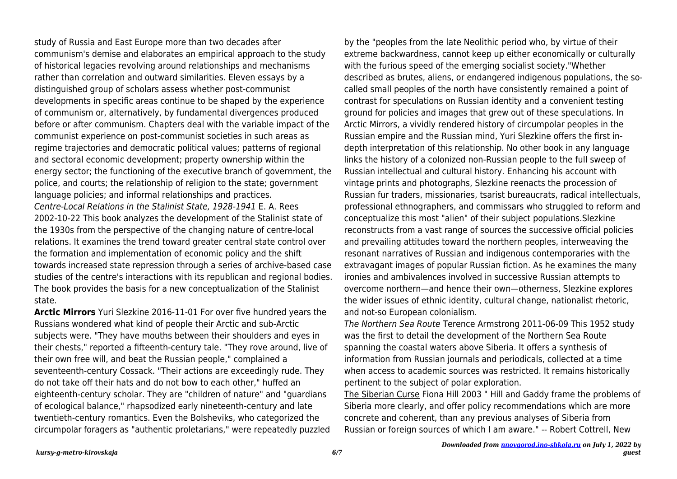study of Russia and East Europe more than two decades after communism's demise and elaborates an empirical approach to the study of historical legacies revolving around relationships and mechanisms rather than correlation and outward similarities. Eleven essays by a distinguished group of scholars assess whether post-communist developments in specific areas continue to be shaped by the experience of communism or, alternatively, by fundamental divergences produced before or after communism. Chapters deal with the variable impact of the communist experience on post-communist societies in such areas as regime trajectories and democratic political values; patterns of regional and sectoral economic development; property ownership within the energy sector; the functioning of the executive branch of government, the police, and courts; the relationship of religion to the state; government language policies; and informal relationships and practices. Centre-Local Relations in the Stalinist State, 1928-1941 E. A. Rees 2002-10-22 This book analyzes the development of the Stalinist state of the 1930s from the perspective of the changing nature of centre-local relations. It examines the trend toward greater central state control over the formation and implementation of economic policy and the shift towards increased state repression through a series of archive-based case studies of the centre's interactions with its republican and regional bodies. The book provides the basis for a new conceptualization of the Stalinist state.

**Arctic Mirrors** Yuri Slezkine 2016-11-01 For over five hundred years the Russians wondered what kind of people their Arctic and sub-Arctic subjects were. "They have mouths between their shoulders and eyes in their chests," reported a fifteenth-century tale. "They rove around, live of their own free will, and beat the Russian people," complained a seventeenth-century Cossack. "Their actions are exceedingly rude. They do not take off their hats and do not bow to each other," huffed an eighteenth-century scholar. They are "children of nature" and "guardians of ecological balance," rhapsodized early nineteenth-century and late twentieth-century romantics. Even the Bolsheviks, who categorized the circumpolar foragers as "authentic proletarians," were repeatedly puzzled by the "peoples from the late Neolithic period who, by virtue of their extreme backwardness, cannot keep up either economically or culturally with the furious speed of the emerging socialist society."Whether described as brutes, aliens, or endangered indigenous populations, the socalled small peoples of the north have consistently remained a point of contrast for speculations on Russian identity and a convenient testing ground for policies and images that grew out of these speculations. In Arctic Mirrors, a vividly rendered history of circumpolar peoples in the Russian empire and the Russian mind, Yuri Slezkine offers the first indepth interpretation of this relationship. No other book in any language links the history of a colonized non-Russian people to the full sweep of Russian intellectual and cultural history. Enhancing his account with vintage prints and photographs, Slezkine reenacts the procession of Russian fur traders, missionaries, tsarist bureaucrats, radical intellectuals, professional ethnographers, and commissars who struggled to reform and conceptualize this most "alien" of their subject populations.Slezkine reconstructs from a vast range of sources the successive official policies and prevailing attitudes toward the northern peoples, interweaving the resonant narratives of Russian and indigenous contemporaries with the extravagant images of popular Russian fiction. As he examines the many ironies and ambivalences involved in successive Russian attempts to overcome northern—and hence their own—otherness, Slezkine explores the wider issues of ethnic identity, cultural change, nationalist rhetoric, and not-so European colonialism.

The Northern Sea Route Terence Armstrong 2011-06-09 This 1952 study was the first to detail the development of the Northern Sea Route spanning the coastal waters above Siberia. It offers a synthesis of information from Russian journals and periodicals, collected at a time when access to academic sources was restricted. It remains historically pertinent to the subject of polar exploration.

The Siberian Curse Fiona Hill 2003 " Hill and Gaddy frame the problems of Siberia more clearly, and offer policy recommendations which are more concrete and coherent, than any previous analyses of Siberia from Russian or foreign sources of which I am aware." -- Robert Cottrell, New